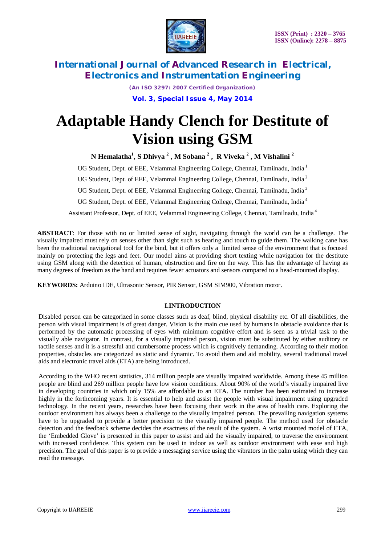

> *(An ISO 3297: 2007 Certified Organization)* **Vol. 3, Special Issue 4, May 2014**

# **Adaptable Handy Clench for Destitute of Vision using GSM**

**N Hemalatha<sup>1</sup> , S Dhivya <sup>2</sup> , M Sobana <sup>2</sup> , R Viveka <sup>2</sup> , M Vishalini <sup>2</sup>**

UG Student, Dept. of EEE, Velammal Engineering College, Chennai, Tamilnadu, India <sup>1</sup>

UG Student, Dept. of EEE, Velammal Engineering College, Chennai, Tamilnadu, India <sup>2</sup>

UG Student, Dept. of EEE, Velammal Engineering College, Chennai, Tamilnadu, India <sup>3</sup>

UG Student, Dept. of EEE, Velammal Engineering College, Chennai, Tamilnadu, India <sup>4</sup>

Assistant Professor, Dept. of EEE, Velammal Engineering College, Chennai, Tamilnadu, India <sup>4</sup>

**ABSTRACT**: For those with no or limited sense of sight, navigating through the world can be a challenge. The visually impaired must rely on senses other than sight such as hearing and touch to guide them. The walking cane has been the traditional navigational tool for the bind, but it offers only a limited sense of the environment that is focused mainly on protecting the legs and feet. Our model aims at providing short texting while navigation for the destitute using GSM along with the detection of human, obstruction and fire on the way*.* This has the advantage of having as many degrees of freedom as the hand and requires fewer actuators and sensors compared to a head-mounted display.

**KEYWORDS:** Arduino IDE, Ultrasonic Sensor, PIR Sensor, GSM SIM900, Vibration motor.

# **I.INTRODUCTION**

Disabled person can be categorized in some classes such as deaf, blind, physical disability etc. Of all disabilities, the person with visual impairment is of great danger. Vision is the main cue used by humans in obstacle avoidance that is performed by the automatic processing of eyes with minimum cognitive effort and is seen as a trivial task to the visually able navigator. In contrast, for a visually impaired person, vision must be substituted by either auditory or tactile senses and it is a stressful and cumbersome process which is cognitively demanding. According to their motion properties, obstacles are categorized as static and dynamic. To avoid them and aid mobility, several traditional travel aids and electronic travel aids (ETA) are being introduced.

According to the WHO recent statistics, 314 million people are visually impaired worldwide. Among these 45 million people are blind and 269 million people have low vision conditions. About 90% of the world's visually impaired live in developing countries in which only 15% are affordable to an ETA. The number has been estimated to increase highly in the forthcoming years. It is essential to help and assist the people with visual impairment using upgraded technology. In the recent years, researches have been focusing their work in the area of health care. Exploring the outdoor environment has always been a challenge to the visually impaired person. The prevailing navigation systems have to be upgraded to provide a better precision to the visually impaired people. The method used for obstacle detection and the feedback scheme decides the exactness of the result of the system. A wrist mounted model of ETA, the 'Embedded Glove' is presented in this paper to assist and aid the visually impaired, to traverse the environment with increased confidence. This system can be used in indoor as well as outdoor environment with ease and high precision. The goal of this paper is to provide a messaging service using the vibrators in the palm using which they can read the message.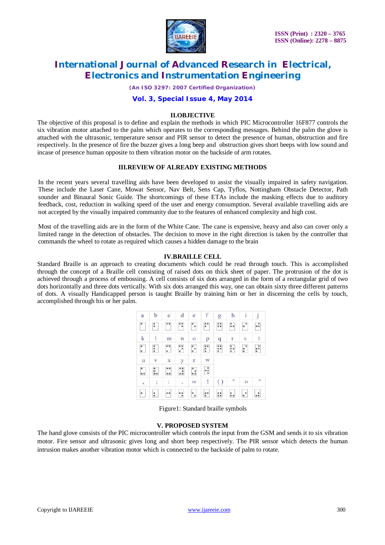

*(An ISO 3297: 2007 Certified Organization)*

# **Vol. 3, Special Issue 4, May 2014**

#### **II.OBJECTIVE**

The objective of this proposal is to define and explain the methods in which PIC Microcontroller 16F877 controls the six vibration motor attached to the palm which operates to the corresponding messages. Behind the palm the glove is attached with the ultrasonic, temperature sensor and PIR sensor to detect the presence of human, obstruction and fire respectively. In the presence of fire the buzzer gives a long beep and obstruction gives short beeps with low sound and incase of presence human opposite to them vibration motor on the backside of arm rotates.

#### **III.REVIEW OF ALREADY EXISTING METHODS**

In the recent years several travelling aids have been developed to assist the visually impaired in safety navigation. These include the Laser Cane, Mowat Sensor, Nav Belt, Sens Cap, Tyflos, Nottingham Obstacle Detector, Path sounder and Binaural Sonic Guide. The shortcomings of these ETAs include the masking effects due to auditory feedback, cost, reduction in walking speed of the user and energy consumption. Several available travelling aids are not accepted by the visually impaired community due to the features of enhanced complexity and high cost.

Most of the travelling aids are in the form of the White Cane. The cane is expensive, heavy and also can cover only a limited range in the detection of obstacles. The decision to move in the right direction is taken by the controller that commands the wheel to rotate as required which causes a hidden damage to the brain

#### **IV.BRAILLE CELL**

Standard Braille is an approach to creating documents which could be read through touch. This is accomplished through the concept of a Braille cell consisting of raised dots on thick sheet of paper. The protrusion of the dot is achieved through a process of embossing. A cell consists of six dots arranged in the form of a rectangular grid of two dots horizontally and three dots vertically. With six dots arranged this way, one can obtain sixty three different patterns of dots. A visually Handicapped person is taught Braille by training him or her in discerning the cells by touch, accomplished through his or her palm.

| a                                                          | b                | $\ddot{\text{c}}$                            | d                       | e                    | f                                                                     | $\overline{g}$                                        | h                      | $\mathbf{i}$                                                          | j              |
|------------------------------------------------------------|------------------|----------------------------------------------|-------------------------|----------------------|-----------------------------------------------------------------------|-------------------------------------------------------|------------------------|-----------------------------------------------------------------------|----------------|
|                                                            | $\ddot{\cdot}$   |                                              | $\dddot{\cdot}$         | ۰.                   | $\ddot{\bullet}$                                                      | $\ddot{\phantom{a}}\phantom{a}\phantom{a}\phantom{a}$ | ።                      | $\bullet$                                                             | .:             |
| $\mathbf k$                                                | I                | $\overline{m}$                               | $\overline{\mathbf{n}}$ | $\overline{0}$       | p                                                                     | q                                                     | r                      | $\overline{\mathbf{s}}$                                               | t              |
| $\begin{array}{ c } \hline \bullet \\ \bullet \end{array}$ | $\frac{1}{2}$    | $\begin{array}{c} 0.0 \\ 0 \\ 0 \end{array}$ | $\ddot{\cdot}$          | $\ddot{\cdot}$       | $\begin{array}{c} \bullet & \bullet \\ \bullet & \bullet \end{array}$ | $\ddot{\phantom{a}}$                                  | $\ddot{\cdot}$         | $\begin{smallmatrix} \bullet \\ \bullet \\ \bullet \end{smallmatrix}$ | $\ddot{\cdot}$ |
| u                                                          | V                | $\mathbf X$                                  | y                       | z                    | W                                                                     |                                                       |                        |                                                                       |                |
| $\begin{array}{c} \circ \\ \circ \\ \circ \end{array}$     | $\ddot{\bullet}$ | $\ddot{\bullet}$                             | $\ddot{\bullet}$        |                      | ÷                                                                     |                                                       |                        |                                                                       |                |
| $\mathfrak{s}$                                             | j,               | j,                                           | Ç,                      | en                   | $\mathbb{D}$                                                          | $\left( \right)$                                      | $\mathbf{H}_\parallel$ | in                                                                    | ार             |
| $\bullet$                                                  | $\ddot{\bullet}$ |                                              | ٠.                      | $\ddot{\phantom{0}}$ | $\ddot{\bullet}$                                                      | $\ddot{\phantom{a}}$                                  |                        | $\ddot{\phantom{0}}$                                                  | $\ddot{\cdot}$ |

Figure1: Standard braille symbols

# **V. PROPOSED SYSTEM**

The hand glove consists of the PIC microcontroller which controls the input from the GSM and sends it to six vibration motor. Fire sensor and ultrasonic gives long and short beep respectively. The PIR sensor which detects the human intrusion makes another vibration motor which is connected to the backside of palm to rotate.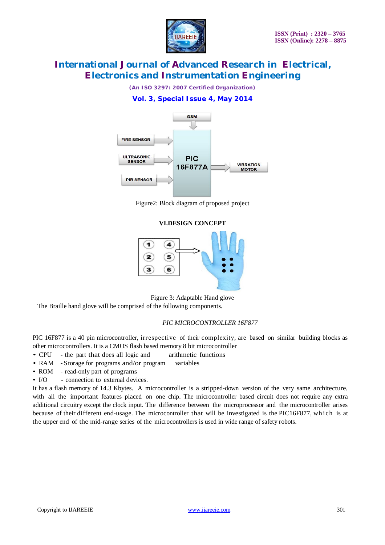

*(An ISO 3297: 2007 Certified Organization)*

# **Vol. 3, Special Issue 4, May 2014**



Figure2: Block diagram of proposed project

#### **VI.DESIGN CONCEPT**



Figure 3: Adaptable Hand glove

The Braille hand glove will be comprised of the following components.

# *PIC MICROCONTROLLER 16F877*

PIC 16F877 is a 40 pin microcontroller, irrespective of their complexity, are based on similar building blocks as other microcontrollers. It is a CMOS flash based memory 8 bit microcontroller

- CPU the part that does all logic and arithmetic functions
- RAM Storage for programs and/or program variables
- ROM read-only part of programs
- I/O connection to external devices.

It has a flash memory of 14.3 Kbytes. A microcontroller is a stripped-down version of the very same architecture, with all the important features placed on one chip. The microcontroller based circuit does not require any extra additional circuitry except the clock input. The difference between the microprocessor and the microcontroller arises because of their different end-usage. The microcontroller that will be investigated is the PIC16F877, which is at the upper end of the mid-range series of the microcontrollers is used in wide range of safety robots.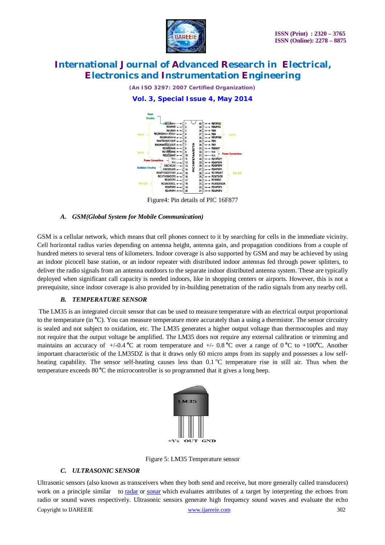

*(An ISO 3297: 2007 Certified Organization)*

**Vol. 3, Special Issue 4, May 2014**



Figure4: Pin details of PIC 16F877

#### *A. GSM(Global System for Mobile Communication)*

GSM is a cellular network, which means that cell phones connect to it by searching for cells in the immediate vicinity. Cell horizontal radius varies depending on antenna height, antenna gain, and propagation conditions from a couple of hundred meters to several tens of kilometers. Indoor coverage is also supported by GSM and may be achieved by using an indoor picocell base station, or an indoor repeater with distributed indoor antennas fed through power splitters, to deliver the radio signals from an antenna outdoors to the separate indoor distributed antenna system. These are typically deployed when significant call capacity is needed indoors, like in shopping centers or airports. However, this is not a prerequisite, since indoor coverage is also provided by in-building penetration of the radio signals from any nearby cell.

#### *B. TEMPERATURE SENSOR*

The LM35 is an integrated circuit sensor that can be used to measure temperature with an electrical output proportional to the temperature (in **<sup>o</sup>**C). You can measure temperature more accurately than a using a thermistor. The sensor circuitry is sealed and not subject to oxidation, etc. The LM35 generates a higher output voltage than thermocouples and may not require that the output voltage be amplified. The LM35 does not require any external calibration or trimming and maintains an accuracy of  $+/-0.4$  °C at room temperature and  $+/-0.8$  °C over a range of 0 °C to  $+100$ °C. Another important characteristic of the LM35DZ is that it draws only 60 micro amps from its supply and possesses a low selfheating capability. The sensor self-heating causes less than  $0.1 \degree C$  temperature rise in still air. Thus when the temperature exceeds 80 **<sup>o</sup>**C the microcontroller is so programmed that it gives a long beep.



Figure 5: LM35 Temperature sensor

#### *C. ULTRASONIC SENSOR*

Copyright to IJAREEIE www.ijareeie.com 302 Ultrasonic sensors (also known as transceivers when they both send and receive, but more generally called transducers) work on a principle similar to radar or sonar which evaluates attributes of a target by interpreting the echoes from radio or sound waves respectively. Ultrasonic sensors generate high frequency sound waves and evaluate the echo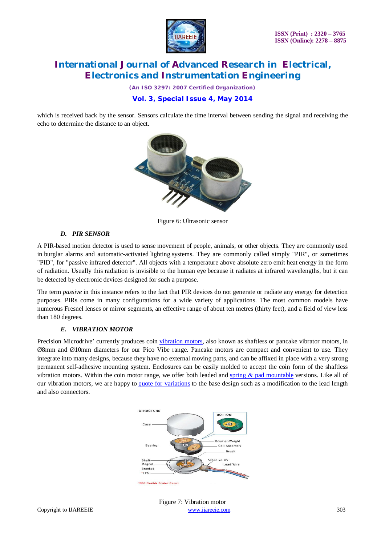

*(An ISO 3297: 2007 Certified Organization)*

# **Vol. 3, Special Issue 4, May 2014**

which is received back by the sensor. Sensors calculate the time interval between sending the signal and receiving the echo to determine the distance to an object.



Figure 6: Ultrasonic sensor

# *D. PIR SENSOR*

A PIR-based motion detector is used to sense movement of people, animals, or other objects. They are commonly used in burglar alarms and automatic-activated lighting systems. They are commonly called simply "PIR", or sometimes "PID", for "passive infrared detector". All objects with a temperature above absolute zero emit heat energy in the form of radiation. Usually this radiation is invisible to the human eye because it radiates at infrared wavelengths, but it can be detected by electronic devices designed for such a purpose.

The term *passive* in this instance refers to the fact that PIR devices do not generate or radiate any energy for detection purposes. PIRs come in many configurations for a wide variety of applications. The most common models have numerous Fresnel lenses or mirror segments, an effective range of about ten metres (thirty feet), and a field of view less than 180 degrees.

# *E. VIBRATION MOTOR*

Precision Microdrive' currently produces coin vibration motors, also known as shaftless or pancake vibrator motors, in Ø8mm and Ø10mm diameters for our Pico Vibe range. Pancake motors are compact and convenient to use. They integrate into many designs, because they have no external moving parts, and can be affixed in place with a very strong permanent self-adhesive mounting system. Enclosures can be easily molded to accept the coin form of the shaftless vibration motors. Within the coin motor range, we offer both leaded and spring  $\&$  pad mountable versions. Like all of our vibration motors, we are happy to quote for variations to the base design such as a modification to the lead length and also connectors.



Copyright to IJAREEIE www.ijareeie.com 303 Figure 7: Vibration motor